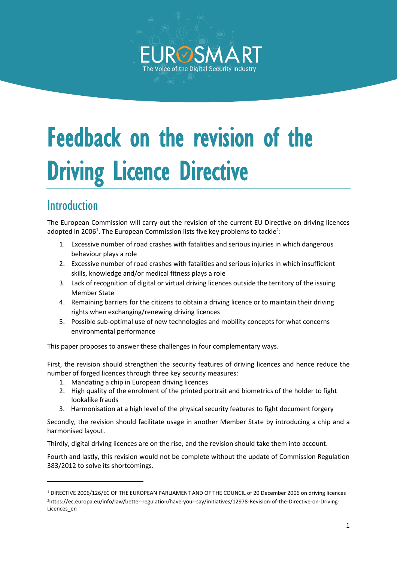

# Feedback on the revision of the Driving Licence Directive

# Introduction

The European Commission will carry out the revision of the current EU Directive on driving licences adopted in 2006<sup>1</sup>. The European Commission lists five key problems to tackle<sup>2</sup>:

- 1. Excessive number of road crashes with fatalities and serious injuries in which dangerous behaviour plays a role
- 2. Excessive number of road crashes with fatalities and serious injuries in which insufficient skills, knowledge and/or medical fitness plays a role
- 3. Lack of recognition of digital or virtual driving licences outside the territory of the issuing Member State
- 4. Remaining barriers for the citizens to obtain a driving licence or to maintain their driving rights when exchanging/renewing driving licences
- 5. Possible sub-optimal use of new technologies and mobility concepts for what concerns environmental performance

This paper proposes to answer these challenges in four complementary ways.

First, the revision should strengthen the security features of driving licences and hence reduce the number of forged licences through three key security measures:

- 1. Mandating a chip in European driving licences
- 2. High quality of the enrolment of the printed portrait and biometrics of the holder to fight lookalike frauds
- 3. Harmonisation at a high level of the physical security features to fight document forgery

Secondly, the revision should facilitate usage in another Member State by introducing a chip and a harmonised layout.

Thirdly, digital driving licences are on the rise, and the revision should take them into account.

Fourth and lastly, this revision would not be complete without the update of Commission Regulation 383/2012 to solve its shortcomings.

<sup>1</sup> DIRECTIVE 2006/126/EC OF THE EUROPEAN PARLIAMENT AND OF THE COUNCIL of 20 December 2006 on driving licences 2https://ec.europa.eu/info/law/better-regulation/have-your-say/initiatives/12978-Revision-of-the-Directive-on-Driving-Licences\_en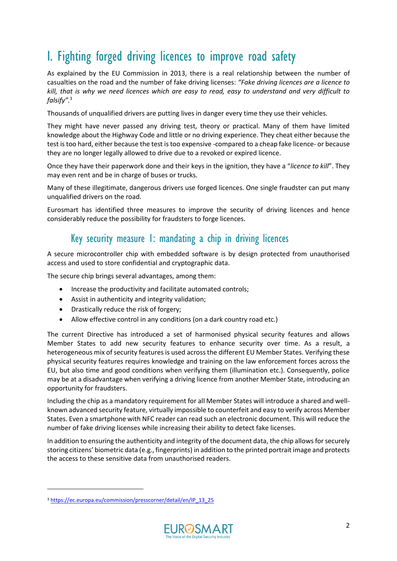# I. Fighting forged driving licences to improve road safety

As explained by the EU Commission in 2013, there is a real relationship between the number of casualties on the road and the number of fake driving licenses: *"Fake driving licences are a licence to kill, that is why we need licences which are easy to read, easy to understand and very difficult to falsify".* 3

Thousands of unqualified drivers are putting lives in danger every time they use their vehicles.

They might have never passed any driving test, theory or practical. Many of them have limited knowledge about the Highway Code and little or no driving experience. They cheat either because the test is too hard, either because the test is too expensive -compared to a cheap fake licence- or because they are no longer legally allowed to drive due to a revoked or expired licence.

Once they have their paperwork done and their keys in the ignition, they have a "*licence to kill*". They may even rent and be in charge of buses or trucks.

Many of these illegitimate, dangerous drivers use forged licences. One single fraudster can put many unqualified drivers on the road.

Eurosmart has identified three measures to improve the security of driving licences and hence considerably reduce the possibility for fraudsters to forge licences.

#### Key security measure 1: mandating a chip in driving licences

A secure microcontroller chip with embedded software is by design protected from unauthorised access and used to store confidential and cryptographic data.

The secure chip brings several advantages, among them:

- Increase the productivity and facilitate automated controls;
- Assist in authenticity and integrity validation;
- Drastically reduce the risk of forgery;
- Allow effective control in any conditions (on a dark country road etc.)

The current Directive has introduced a set of harmonised physical security features and allows Member States to add new security features to enhance security over time. As a result, a heterogeneous mix of security features is used across the different EU Member States. Verifying these physical security features requires knowledge and training on the law enforcement forces across the EU, but also time and good conditions when verifying them (illumination etc.). Consequently, police may be at a disadvantage when verifying a driving licence from another Member State, introducing an opportunity for fraudsters.

Including the chip as a mandatory requirement for all Member States will introduce a shared and wellknown advanced security feature, virtually impossible to counterfeit and easy to verify across Member States. Even a smartphone with NFC reader can read such an electronic document. This will reduce the number of fake driving licenses while increasing their ability to detect fake licenses.

In addition to ensuring the authenticity and integrity of the document data, the chip allows for securely storing citizens' biometric data (e.g., fingerprints) in addition to the printed portrait image and protects the access to these sensitive data from unauthorised readers.

<sup>&</sup>lt;sup>3</sup> [https://ec.europa.eu/commission/presscorner/detail/en/IP\\_13\\_25](https://ec.europa.eu/commission/presscorner/detail/en/IP_13_25)

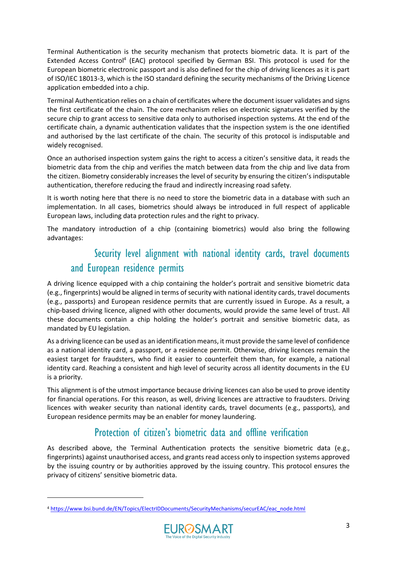Terminal Authentication is the security mechanism that protects biometric data. It is part of the Extended Access Control<sup>4</sup> (EAC) protocol specified by German BSI. This protocol is used for the European biometric electronic passport and is also defined for the chip of driving licences as it is part of ISO/IEC 18013-3, which is the ISO standard defining the security mechanisms of the Driving Licence application embedded into a chip.

Terminal Authentication relies on a chain of certificates where the document issuer validates and signs the first certificate of the chain. The core mechanism relies on electronic signatures verified by the secure chip to grant access to sensitive data only to authorised inspection systems. At the end of the certificate chain, a dynamic authentication validates that the inspection system is the one identified and authorised by the last certificate of the chain. The security of this protocol is indisputable and widely recognised.

Once an authorised inspection system gains the right to access a citizen's sensitive data, it reads the biometric data from the chip and verifies the match between data from the chip and live data from the citizen. Biometry considerably increases the level of security by ensuring the citizen's indisputable authentication, therefore reducing the fraud and indirectly increasing road safety.

It is worth noting here that there is no need to store the biometric data in a database with such an implementation. In all cases, biometrics should always be introduced in full respect of applicable European laws, including data protection rules and the right to privacy.

The mandatory introduction of a chip (containing biometrics) would also bring the following advantages:

## Security level alignment with national identity cards, travel documents and European residence permits

A driving licence equipped with a chip containing the holder's portrait and sensitive biometric data (e.g., fingerprints) would be aligned in terms of security with national identity cards, travel documents (e.g., passports) and European residence permits that are currently issued in Europe. As a result, a chip-based driving licence, aligned with other documents, would provide the same level of trust. All these documents contain a chip holding the holder's portrait and sensitive biometric data, as mandated by EU legislation.

As a driving licence can be used as an identification means, it must provide the same level of confidence as a national identity card, a passport, or a residence permit. Otherwise, driving licences remain the easiest target for fraudsters, who find it easier to counterfeit them than, for example, a national identity card. Reaching a consistent and high level of security across all identity documents in the EU is a priority.

This alignment is of the utmost importance because driving licences can also be used to prove identity for financial operations. For this reason, as well, driving licences are attractive to fraudsters. Driving licences with weaker security than national identity cards, travel documents (e.g., passports), and European residence permits may be an enabler for money laundering.

#### Protection of citizen's biometric data and offline verification

As described above, the Terminal Authentication protects the sensitive biometric data (e.g., fingerprints) against unauthorised access, and grants read access only to inspection systems approved by the issuing country or by authorities approved by the issuing country. This protocol ensures the privacy of citizens' sensitive biometric data.

<sup>4</sup> [https://www.bsi.bund.de/EN/Topics/ElectrIDDocuments/SecurityMechanisms/securEAC/eac\\_node.html](https://www.bsi.bund.de/EN/Topics/ElectrIDDocuments/SecurityMechanisms/securEAC/eac_node.html)

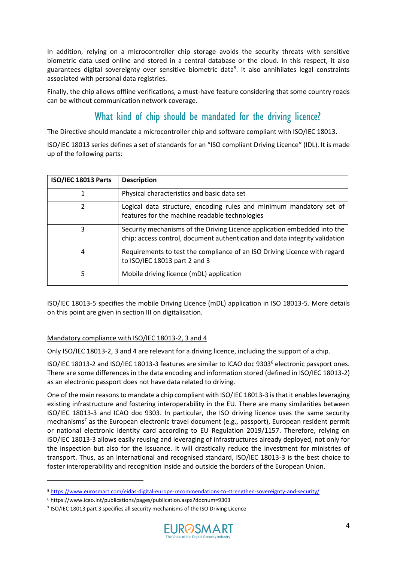In addition, relying on a microcontroller chip storage avoids the security threats with sensitive biometric data used online and stored in a central database or the cloud. In this respect, it also guarantees digital sovereignty over sensitive biometric data<sup>5</sup> . It also annihilates legal constraints associated with personal data registries.

Finally, the chip allows offline verifications, a must-have feature considering that some country roads can be without communication network coverage.

#### What kind of chip should be mandated for the driving licence?

<span id="page-3-0"></span>The Directive should mandate a microcontroller chip and software compliant with ISO/IEC 18013.

ISO/IEC 18013 series defines a set of standards for an "ISO compliant Driving Licence" (IDL). It is made up of the following parts:

| ISO/IEC 18013 Parts | <b>Description</b>                                                                                                                                      |
|---------------------|---------------------------------------------------------------------------------------------------------------------------------------------------------|
| 1                   | Physical characteristics and basic data set                                                                                                             |
| 2                   | Logical data structure, encoding rules and minimum mandatory set of<br>features for the machine readable technologies                                   |
| 3                   | Security mechanisms of the Driving Licence application embedded into the<br>chip: access control, document authentication and data integrity validation |
| 4                   | Requirements to test the compliance of an ISO Driving Licence with regard<br>to ISO/IEC 18013 part 2 and 3                                              |
| 5                   | Mobile driving licence (mDL) application                                                                                                                |

ISO/IEC 18013-5 specifies the mobile Driving Licence (mDL) application in ISO 18013-5. More details on this point are given in section III on digitalisation.

#### Mandatory compliance with ISO/IEC 18013-2, 3 and 4

Only ISO/IEC 18013-2, 3 and 4 are relevant for a driving licence, including the support of a chip.

ISO/IEC 18013-2 and ISO/IEC 18013-3 features are similar to ICAO doc 9303<sup>6</sup> electronic passport ones. There are some differences in the data encoding and information stored (defined in ISO/IEC 18013-2) as an electronic passport does not have data related to driving.

One of the main reasons to mandate a chip compliant with ISO/IEC 18013-3 is that it enables leveraging existing infrastructure and fostering interoperability in the EU. There are many similarities between ISO/IEC 18013-3 and ICAO doc 9303. In particular, the ISO driving licence uses the same security mechanisms<sup>7</sup> as the European electronic travel document (e.g., passport), European resident permit or national electronic identity card according to EU Regulation 2019/1157. Therefore, relying on ISO/IEC 18013-3 allows easily reusing and leveraging of infrastructures already deployed, not only for the inspection but also for the issuance. It will drastically reduce the investment for ministries of transport. Thus, as an international and recognised standard, ISO/IEC 18013-3 is the best choice to foster interoperability and recognition inside and outside the borders of the European Union.

<sup>7</sup> ISO/IEC 18013 part 3 specifies all security mechanisms of the ISO Driving Licence



<sup>5</sup> <https://www.eurosmart.com/eidas-digital-europe-recommendations-to-strengthen-sovereignty-and-security/>

<sup>6</sup> https://www.icao.int/publications/pages/publication.aspx?docnum=9303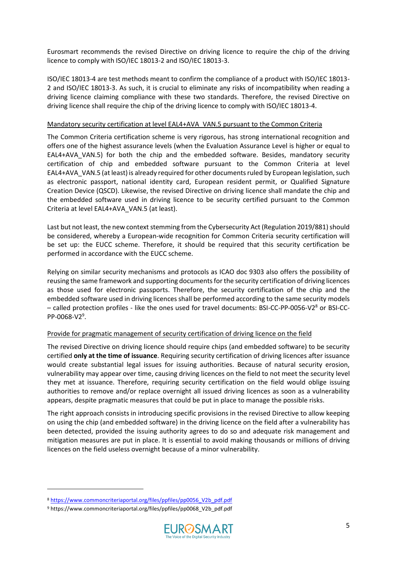Eurosmart recommends the revised Directive on driving licence to require the chip of the driving licence to comply with ISO/IEC 18013-2 and ISO/IEC 18013-3.

ISO/IEC 18013-4 are test methods meant to confirm the compliance of a product with ISO/IEC 18013- 2 and ISO/IEC 18013-3. As such, it is crucial to eliminate any risks of incompatibility when reading a driving licence claiming compliance with these two standards. Therefore, the revised Directive on driving licence shall require the chip of the driving licence to comply with ISO/IEC 18013-4.

#### Mandatory security certification at level EAL4+AVA\_VAN.5 pursuant to the Common Criteria

The Common Criteria certification scheme is very rigorous, has strong international recognition and offers one of the highest assurance levels (when the Evaluation Assurance Level is higher or equal to EAL4+AVA\_VAN.5) for both the chip and the embedded software. Besides, mandatory security certification of chip and embedded software pursuant to the Common Criteria at level EAL4+AVA\_VAN.5 (at least) is already required for other documents ruled by European legislation, such as electronic passport, national identity card, European resident permit, or Qualified Signature Creation Device (QSCD). Likewise, the revised Directive on driving licence shall mandate the chip and the embedded software used in driving licence to be security certified pursuant to the Common Criteria at level EAL4+AVA\_VAN.5 (at least).

Last but not least, the new context stemming from the Cybersecurity Act (Regulation 2019/881) should be considered, whereby a European-wide recognition for Common Criteria security certification will be set up: the EUCC scheme. Therefore, it should be required that this security certification be performed in accordance with the EUCC scheme.

Relying on similar security mechanisms and protocols as ICAO doc 9303 also offers the possibility of reusing the same framework and supporting documents for the security certification of driving licences as those used for electronic passports. Therefore, the security certification of the chip and the embedded software used in driving licences shall be performed according to the same security models – called protection profiles - like the ones used for travel documents: BSI-CC-PP-0056-V2<sup>8</sup> or BSI-CC-PP-0068-V2<sup>9</sup>.

#### Provide for pragmatic management of security certification of driving licence on the field

The revised Directive on driving licence should require chips (and embedded software) to be security certified **only at the time of issuance**. Requiring security certification of driving licences after issuance would create substantial legal issues for issuing authorities. Because of natural security erosion, vulnerability may appear over time, causing driving licences on the field to not meet the security level they met at issuance. Therefore, requiring security certification on the field would oblige issuing authorities to remove and/or replace overnight all issued driving licences as soon as a vulnerability appears, despite pragmatic measures that could be put in place to manage the possible risks.

The right approach consists in introducing specific provisions in the revised Directive to allow keeping on using the chip (and embedded software) in the driving licence on the field after a vulnerability has been detected, provided the issuing authority agrees to do so and adequate risk management and mitigation measures are put in place. It is essential to avoid making thousands or millions of driving licences on the field useless overnight because of a minor vulnerability.

<sup>9</sup> https://www.commoncriteriaportal.org/files/ppfiles/pp0068\_V2b\_pdf.pdf



<sup>8</sup> [https://www.commoncriteriaportal.org/files/ppfiles/pp0056\\_V2b\\_pdf.pdf](https://www.commoncriteriaportal.org/files/ppfiles/pp0056_V2b_pdf.pdf)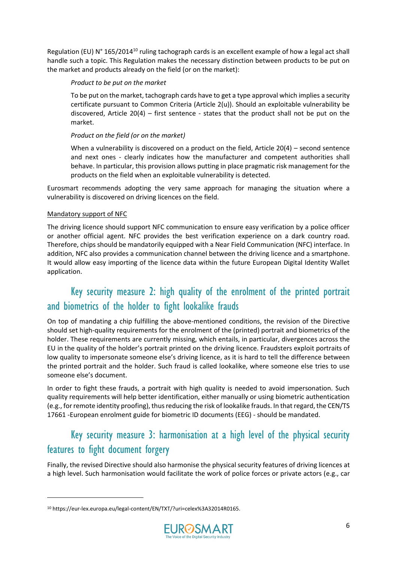Regulation (EU) N° 165/2014<sup>10</sup> ruling tachograph cards is an excellent example of how a legal act shall handle such a topic. This Regulation makes the necessary distinction between products to be put on the market and products already on the field (or on the market):

#### *Product to be put on the market*

To be put on the market, tachograph cards have to get a type approval which implies a security certificate pursuant to Common Criteria (Article 2(u)). Should an exploitable vulnerability be discovered, Article  $20(4)$  – first sentence - states that the product shall not be put on the market.

#### *Product on the field (or on the market)*

When a vulnerability is discovered on a product on the field, Article 20(4) – second sentence and next ones - clearly indicates how the manufacturer and competent authorities shall behave. In particular, this provision allows putting in place pragmatic risk management for the products on the field when an exploitable vulnerability is detected.

Eurosmart recommends adopting the very same approach for managing the situation where a vulnerability is discovered on driving licences on the field.

#### Mandatory support of NFC

The driving licence should support NFC communication to ensure easy verification by a police officer or another official agent. NFC provides the best verification experience on a dark country road. Therefore, chips should be mandatorily equipped with a Near Field Communication (NFC) interface. In addition, NFC also provides a communication channel between the driving licence and a smartphone. It would allow easy importing of the licence data within the future European Digital Identity Wallet application.

## Key security measure 2: high quality of the enrolment of the printed portrait and biometrics of the holder to fight lookalike frauds

On top of mandating a chip fulfilling the above-mentioned conditions, the revision of the Directive should set high-quality requirements for the enrolment of the (printed) portrait and biometrics of the holder. These requirements are currently missing, which entails, in particular, divergences across the EU in the quality of the holder's portrait printed on the driving licence. Fraudsters exploit portraits of low quality to impersonate someone else's driving licence, as it is hard to tell the difference between the printed portrait and the holder. Such fraud is called lookalike, where someone else tries to use someone else's document.

In order to fight these frauds, a portrait with high quality is needed to avoid impersonation. Such quality requirements will help better identification, either manually or using biometric authentication (e.g., for remote identity proofing), thus reducing the risk of lookalike frauds. In that regard, the CEN/TS 17661 -European enrolment guide for biometric ID documents (EEG) - should be mandated.

## Key security measure 3: harmonisation at a high level of the physical security features to fight document forgery

Finally, the revised Directive should also harmonise the physical security features of driving licences at a high level. Such harmonisation would facilitate the work of police forces or private actors (e.g., car

<sup>10</sup> https://eur-lex.europa.eu/legal-content/EN/TXT/?uri=celex%3A32014R0165.

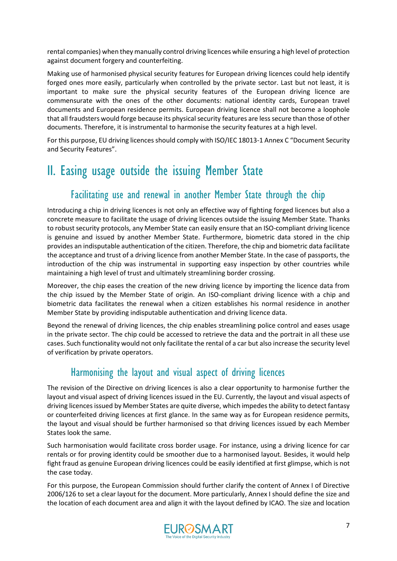rental companies) when they manually control driving licences while ensuring a high level of protection against document forgery and counterfeiting.

Making use of harmonised physical security features for European driving licences could help identify forged ones more easily, particularly when controlled by the private sector. Last but not least, it is important to make sure the physical security features of the European driving licence are commensurate with the ones of the other documents: national identity cards, European travel documents and European residence permits. European driving licence shall not become a loophole that all fraudsters would forge because its physical security features are less secure than those of other documents. Therefore, it is instrumental to harmonise the security features at a high level.

For this purpose, EU driving licences should comply with ISO/IEC 18013-1 Annex C "Document Security and Security Features".

# II. Easing usage outside the issuing Member State

#### Facilitating use and renewal in another Member State through the chip

Introducing a chip in driving licences is not only an effective way of fighting forged licences but also a concrete measure to facilitate the usage of driving licences outside the issuing Member State. Thanks to robust security protocols, any Member State can easily ensure that an ISO-compliant driving licence is genuine and issued by another Member State. Furthermore, biometric data stored in the chip provides an indisputable authentication of the citizen. Therefore, the chip and biometric data facilitate the acceptance and trust of a driving licence from another Member State. In the case of passports, the introduction of the chip was instrumental in supporting easy inspection by other countries while maintaining a high level of trust and ultimately streamlining border crossing.

Moreover, the chip eases the creation of the new driving licence by importing the licence data from the chip issued by the Member State of origin. An ISO-compliant driving licence with a chip and biometric data facilitates the renewal when a citizen establishes his normal residence in another Member State by providing indisputable authentication and driving licence data.

Beyond the renewal of driving licences, the chip enables streamlining police control and eases usage in the private sector. The chip could be accessed to retrieve the data and the portrait in all these use cases. Such functionality would not only facilitate the rental of a car but also increase the security level of verification by private operators.

#### Harmonising the layout and visual aspect of driving licences

The revision of the Directive on driving licences is also a clear opportunity to harmonise further the layout and visual aspect of driving licences issued in the EU. Currently, the layout and visual aspects of driving licences issued by Member States are quite diverse, which impedes the ability to detect fantasy or counterfeited driving licences at first glance. In the same way as for European residence permits, the layout and visual should be further harmonised so that driving licences issued by each Member States look the same.

Such harmonisation would facilitate cross border usage. For instance, using a driving licence for car rentals or for proving identity could be smoother due to a harmonised layout. Besides, it would help fight fraud as genuine European driving licences could be easily identified at first glimpse, which is not the case today.

For this purpose, the European Commission should further clarify the content of Annex I of Directive 2006/126 to set a clear layout for the document. More particularly, Annex I should define the size and the location of each document area and align it with the layout defined by ICAO. The size and location

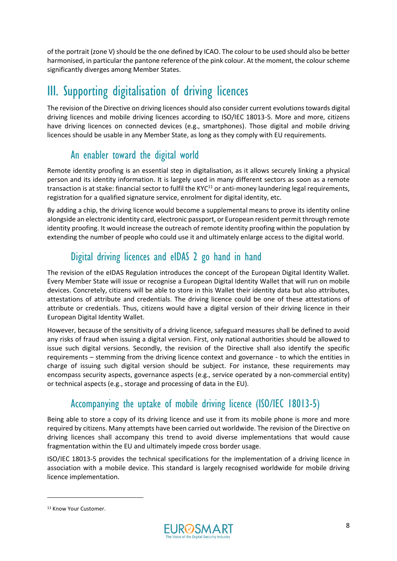of the portrait (zone V) should be the one defined by ICAO. The colour to be used should also be better harmonised, in particular the pantone reference of the pink colour. At the moment, the colour scheme significantly diverges among Member States.

# III. Supporting digitalisation of driving licences

The revision of the Directive on driving licences should also consider current evolutions towards digital driving licences and mobile driving licences according to ISO/IEC 18013-5. More and more, citizens have driving licences on connected devices (e.g., smartphones). Those digital and mobile driving licences should be usable in any Member State, as long as they comply with EU requirements.

#### An enabler toward the digital world

Remote identity proofing is an essential step in digitalisation, as it allows securely linking a physical person and its identity information. It is largely used in many different sectors as soon as a remote transaction is at stake: financial sector to fulfil the KYC $^{11}$  or anti-money laundering legal requirements, registration for a qualified signature service, enrolment for digital identity, etc.

By adding a chip, the driving licence would become a supplemental means to prove its identity online alongside an electronic identity card, electronic passport, or European resident permit through remote identity proofing. It would increase the outreach of remote identity proofing within the population by extending the number of people who could use it and ultimately enlarge access to the digital world.

## Digital driving licences and eIDAS 2 go hand in hand

The revision of the eIDAS Regulation introduces the concept of the European Digital Identity Wallet. Every Member State will issue or recognise a European Digital Identity Wallet that will run on mobile devices. Concretely, citizens will be able to store in this Wallet their identity data but also attributes, attestations of attribute and credentials. The driving licence could be one of these attestations of attribute or credentials. Thus, citizens would have a digital version of their driving licence in their European Digital Identity Wallet.

However, because of the sensitivity of a driving licence, safeguard measures shall be defined to avoid any risks of fraud when issuing a digital version. First, only national authorities should be allowed to issue such digital versions. Secondly, the revision of the Directive shall also identify the specific requirements – stemming from the driving licence context and governance - to which the entities in charge of issuing such digital version should be subject. For instance, these requirements may encompass security aspects, governance aspects (e.g., service operated by a non-commercial entity) or technical aspects (e.g., storage and processing of data in the EU).

## Accompanying the uptake of mobile driving licence (ISO/IEC 18013-5)

Being able to store a copy of its driving licence and use it from its mobile phone is more and more required by citizens. Many attempts have been carried out worldwide. The revision of the Directive on driving licences shall accompany this trend to avoid diverse implementations that would cause fragmentation within the EU and ultimately impede cross border usage.

ISO/IEC 18013-5 provides the technical specifications for the implementation of a driving licence in association with a mobile device. This standard is largely recognised worldwide for mobile driving licence implementation.



<sup>&</sup>lt;sup>11</sup> Know Your Customer.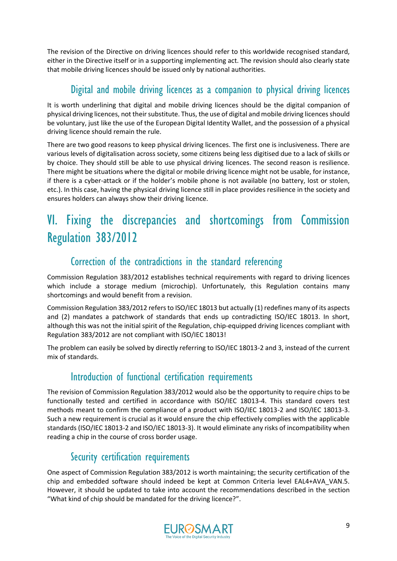The revision of the Directive on driving licences should refer to this worldwide recognised standard, either in the Directive itself or in a supporting implementing act. The revision should also clearly state that mobile driving licences should be issued only by national authorities.

## Digital and mobile driving licences as a companion to physical driving licences

It is worth underlining that digital and mobile driving licences should be the digital companion of physical driving licences, not their substitute. Thus, the use of digital and mobile driving licences should be voluntary, just like the use of the European Digital Identity Wallet, and the possession of a physical driving licence should remain the rule.

There are two good reasons to keep physical driving licences. The first one is inclusiveness. There are various levels of digitalisation across society, some citizens being less digitised due to a lack of skills or by choice. They should still be able to use physical driving licences. The second reason is resilience. There might be situations where the digital or mobile driving licence might not be usable, for instance, if there is a cyber-attack or if the holder's mobile phone is not available (no battery, lost or stolen, etc.). In this case, having the physical driving licence still in place provides resilience in the society and ensures holders can always show their driving licence.

# VI. Fixing the discrepancies and shortcomings from Commission Regulation 383/2012

#### Correction of the contradictions in the standard referencing

Commission Regulation 383/2012 establishes technical requirements with regard to driving licences which include a storage medium (microchip). Unfortunately, this Regulation contains many shortcomings and would benefit from a revision.

Commission Regulation 383/2012 refers to ISO/IEC 18013 but actually (1) redefines many of its aspects and (2) mandates a patchwork of standards that ends up contradicting ISO/IEC 18013. In short, although this was not the initial spirit of the Regulation, chip-equipped driving licences compliant with Regulation 383/2012 are not compliant with ISO/IEC 18013!

The problem can easily be solved by directly referring to ISO/IEC 18013-2 and 3, instead of the current mix of standards.

#### Introduction of functional certification requirements

The revision of Commission Regulation 383/2012 would also be the opportunity to require chips to be functionally tested and certified in accordance with ISO/IEC 18013-4. This standard covers test methods meant to confirm the compliance of a product with ISO/IEC 18013-2 and ISO/IEC 18013-3. Such a new requirement is crucial as it would ensure the chip effectively complies with the applicable standards (ISO/IEC 18013-2 and ISO/IEC 18013-3). It would eliminate any risks of incompatibility when reading a chip in the course of cross border usage.

#### Security certification requirements

One aspect of Commission Regulation 383/2012 is worth maintaining; the security certification of the chip and embedded software should indeed be kept at Common Criteria level EAL4+AVA\_VAN.5. However, it should be updated to take into account the recommendations described in the section "What kind of chip should [be mandated for the driving licence?](#page-3-0)".

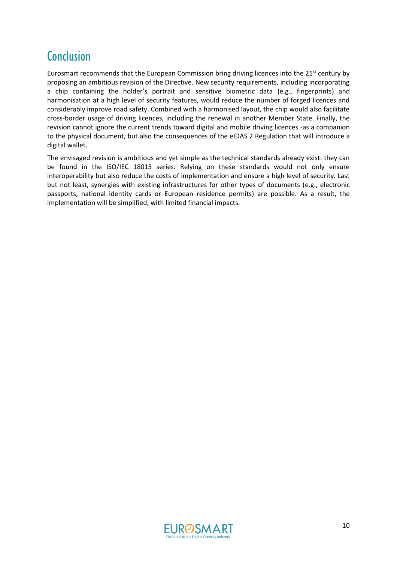# **Conclusion**

Eurosmart recommends that the European Commission bring driving licences into the 21<sup>st</sup> century by proposing an ambitious revision of the Directive. New security requirements, including incorporating a chip containing the holder's portrait and sensitive biometric data (e.g., fingerprints) and harmonisation at a high level of security features, would reduce the number of forged licences and considerably improve road safety. Combined with a harmonised layout, the chip would also facilitate cross-border usage of driving licences, including the renewal in another Member State. Finally, the revision cannot ignore the current trends toward digital and mobile driving licences -as a companion to the physical document, but also the consequences of the eIDAS 2 Regulation that will introduce a digital wallet.

The envisaged revision is ambitious and yet simple as the technical standards already exist: they can be found in the ISO/IEC 18013 series. Relying on these standards would not only ensure interoperability but also reduce the costs of implementation and ensure a high level of security. Last but not least, synergies with existing infrastructures for other types of documents (e.g., electronic passports, national identity cards or European residence permits) are possible. As a result, the implementation will be simplified, with limited financial impacts.